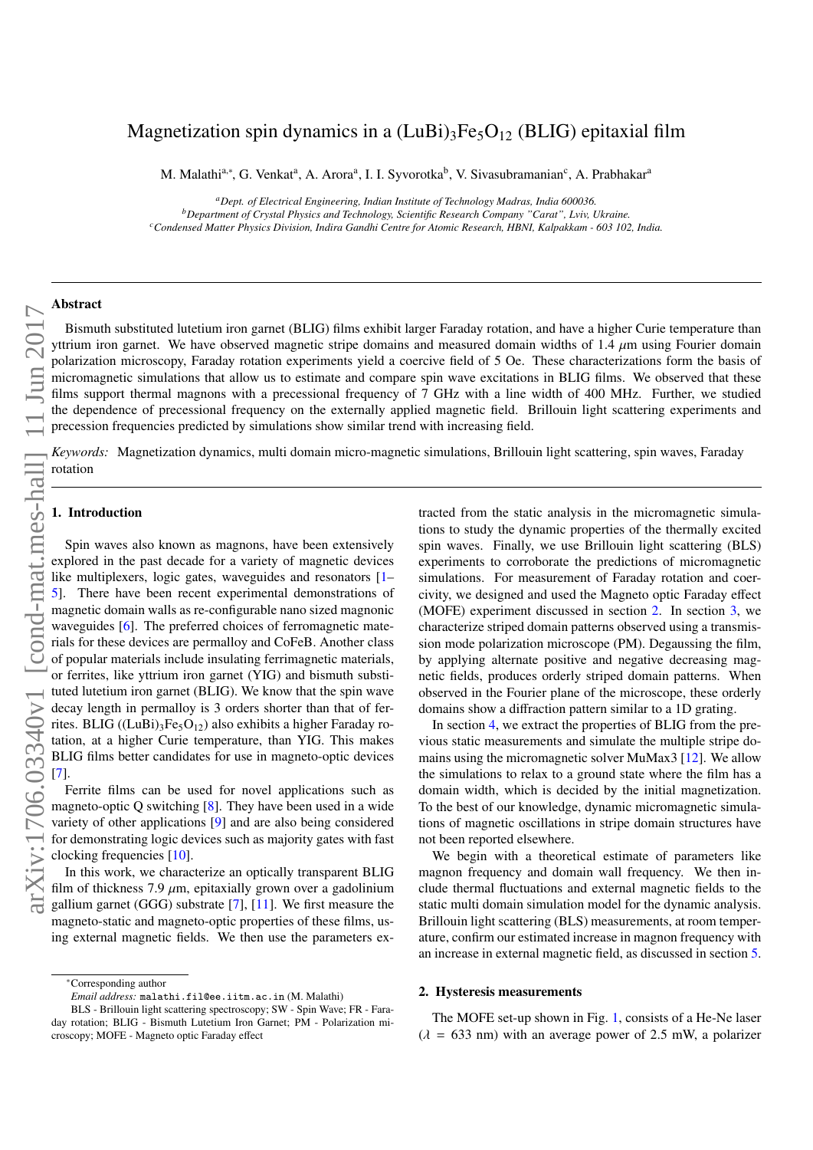# Magnetization spin dynamics in a  $(LuBi)$ <sub>3</sub>Fe<sub>5</sub>O<sub>12</sub> (BLIG) epitaxial film

M. Malathi<sup>a,∗</sup>, G. Venkat<sup>a</sup>, A. Arora<sup>a</sup>, I. I. Syvorotka<sup>b</sup>, V. Sivasubramanian<sup>c</sup>, A. Prabhakar<sup>a</sup>

*<sup>a</sup>Dept. of Electrical Engineering, Indian Institute of Technology Madras, India 600036. <sup>b</sup>Department of Crystal Physics and Technology, Scientific Research Company "Carat", Lviv, Ukraine. <sup>c</sup>Condensed Matter Physics Division, Indira Gandhi Centre for Atomic Research, HBNI, Kalpakkam - 603 102, India.*

## Abstract

Bismuth substituted lutetium iron garnet (BLIG) films exhibit larger Faraday rotation, and have a higher Curie temperature than yttrium iron garnet. We have observed magnetic stripe domains and measured domain widths of 1.4  $\mu$ m using Fourier domain polarization microscopy, Faraday rotation experiments yield a coercive field of 5 Oe. These characterizations form the basis of micromagnetic simulations that allow us to estimate and compare spin wave excitations in BLIG films. We observed that these films support thermal magnons with a precessional frequency of 7 GHz with a line width of 400 MHz. Further, we studied the dependence of precessional frequency on the externally applied magnetic field. Brillouin light scattering experiments and precession frequencies predicted by simulations show similar trend with increasing field.

*Keywords:* Magnetization dynamics, multi domain micro-magnetic simulations, Brillouin light scattering, spin waves, Faraday rotation

## 1. Introduction

Spin waves also known as magnons, have been extensively explored in the past decade for a variety of magnetic devices like multiplexers, logic gates, waveguides and resonators [1– There have been recent experimental demonstrations of magnetic domain walls as re-configurable nano sized magnonic waveguides [6]. The preferred choices of ferromagnetic materials for these devices are permalloy and CoFeB. Another class of popular materials include insulating ferrimagnetic materials, or ferrites, like yttrium iron garnet (YIG) and bismuth substituted lutetium iron garnet (BLIG). We know that the spin wave decay length in permalloy is 3 orders shorter than that of ferrites. BLIG ((LuBi)<sub>3</sub>Fe<sub>5</sub>O<sub>12</sub>) also exhibits a higher Faraday rotation, at a higher Curie temperature, than YIG. This makes BLIG films better candidates for use in magneto-optic devices [7].

Ferrite films can be used for novel applications such as magneto-optic Q switching [8]. They have been used in a wide variety of other applications [9] and are also being considered for demonstrating logic devices such as majority gates with fast clocking frequencies [10].

In this work, we characterize an optically transparent BLIG film of thickness 7.9  $\mu$ m, epitaxially grown over a gadolinium gallium garnet (GGG) substrate [7], [11]. We first measure the magneto-static and magneto-optic properties of these films, using external magnetic fields. We then use the parameters ex-

tracted from the static analysis in the micromagnetic simulations to study the dynamic properties of the thermally excited spin waves. Finally, we use Brillouin light scattering (BLS) experiments to corroborate the predictions of micromagnetic simulations. For measurement of Faraday rotation and coercivity, we designed and used the Magneto optic Faraday effect (MOFE) experiment discussed in section 2. In section 3, we characterize striped domain patterns observed using a transmission mode polarization microscope (PM). Degaussing the film, by applying alternate positive and negative decreasing magnetic fields, produces orderly striped domain patterns. When observed in the Fourier plane of the microscope, these orderly domains show a diffraction pattern similar to a 1D grating.

In section 4, we extract the properties of BLIG from the previous static measurements and simulate the multiple stripe domains using the micromagnetic solver MuMax3 [12]. We allow the simulations to relax to a ground state where the film has a domain width, which is decided by the initial magnetization. To the best of our knowledge, dynamic micromagnetic simulations of magnetic oscillations in stripe domain structures have not been reported elsewhere.

We begin with a theoretical estimate of parameters like magnon frequency and domain wall frequency. We then include thermal fluctuations and external magnetic fields to the static multi domain simulation model for the dynamic analysis. Brillouin light scattering (BLS) measurements, at room temperature, confirm our estimated increase in magnon frequency with an increase in external magnetic field, as discussed in section 5.

#### 2. Hysteresis measurements

The MOFE set-up shown in Fig. 1, consists of a He-Ne laser  $(\lambda = 633 \text{ nm})$  with an average power of 2.5 mW, a polarizer

<sup>∗</sup>Corresponding author

*Email address:* malathi.fil@ee.iitm.ac.in (M. Malathi)

BLS - Brillouin light scattering spectroscopy; SW - Spin Wave; FR - Faraday rotation; BLIG - Bismuth Lutetium Iron Garnet; PM - Polarization microscopy; MOFE - Magneto optic Faraday effect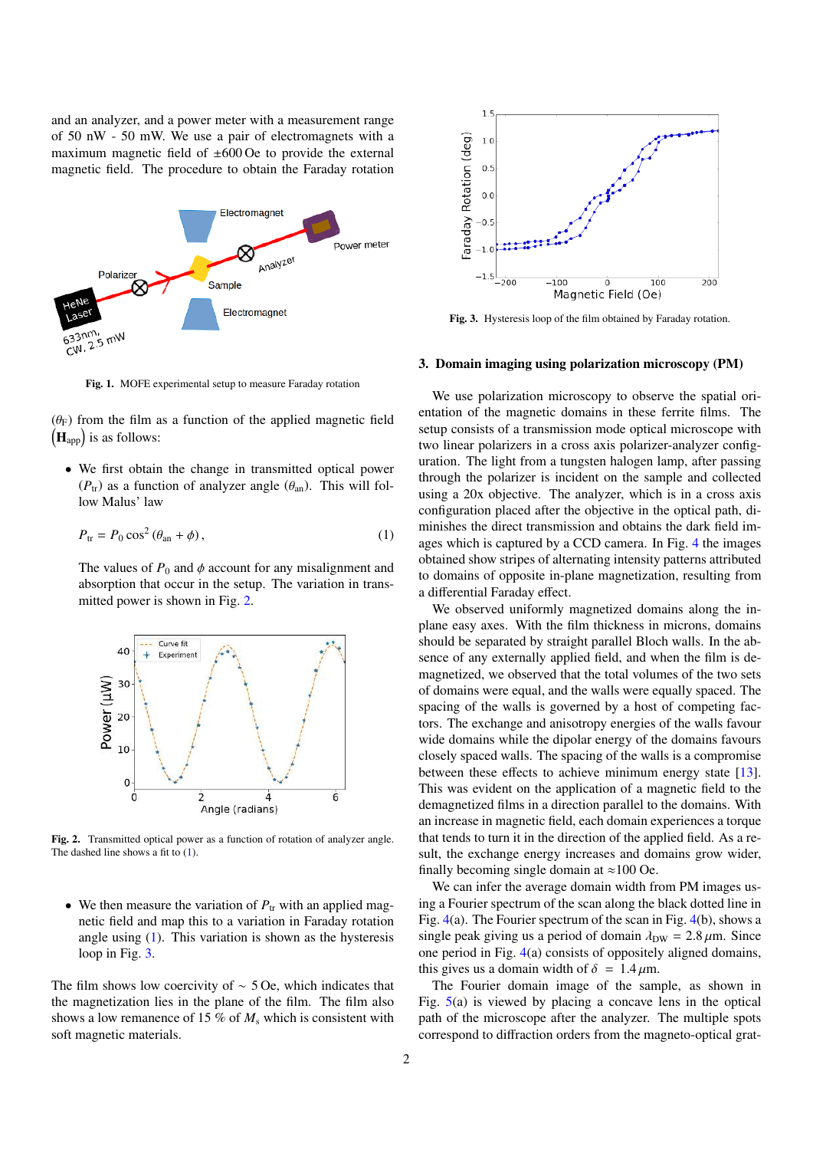and an analyzer, and a power meter with a measurement range of 50 nW - 50 mW. We use a pair of electromagnets with a maximum magnetic field of  $\pm 600$  Oe to provide the external magnetic field. The procedure to obtain the Faraday rotation



Fig. 1. MOFE experimental setup to measure Faraday rotation

 $(\theta_F)$  from the film as a function of the applied magnetic field  $(\mathbf{H}_{app})$  is as follows:

• We first obtain the change in transmitted optical power  $(P_{tr})$  as a function of analyzer angle  $(\theta_{an})$ . This will follow Malus' law

$$
P_{\text{tr}} = P_0 \cos^2(\theta_{\text{an}} + \phi), \qquad (1)
$$

The values of  $P_0$  and  $\phi$  account for any misalignment and absorption that occur in the setup. The variation in transmitted power is shown in Fig. 2.



Fig. 2. Transmitted optical power as a function of rotation of analyzer angle. The dashed line shows a fit to  $(1)$ .

• We then measure the variation of  $P_{tr}$  with an applied magnetic field and map this to a variation in Faraday rotation angle using  $(1)$ . This variation is shown as the hysteresis loop in Fig. 3.

The film shows low coercivity of ∼ 5 Oe, which indicates that the magnetization lies in the plane of the film. The film also shows a low remanence of 15  $\%$  of  $M_s$  which is consistent with soft magnetic materials.



Fig. 3. Hysteresis loop of the film obtained by Faraday rotation.

#### 3. Domain imaging using polarization microscopy (PM)

We use polarization microscopy to observe the spatial orientation of the magnetic domains in these ferrite films. The setup consists of a transmission mode optical microscope with two linear polarizers in a cross axis polarizer-analyzer configuration. The light from a tungsten halogen lamp, after passing through the polarizer is incident on the sample and collected using a 20x objective. The analyzer, which is in a cross axis configuration placed after the objective in the optical path, diminishes the direct transmission and obtains the dark field images which is captured by a CCD camera. In Fig. 4 the images obtained show stripes of alternating intensity patterns attributed to domains of opposite in-plane magnetization, resulting from a differential Faraday effect.

We observed uniformly magnetized domains along the inplane easy axes. With the film thickness in microns, domains should be separated by straight parallel Bloch walls. In the absence of any externally applied field, and when the film is demagnetized, we observed that the total volumes of the two sets of domains were equal, and the walls were equally spaced. The spacing of the walls is governed by a host of competing factors. The exchange and anisotropy energies of the walls favour wide domains while the dipolar energy of the domains favours closely spaced walls. The spacing of the walls is a compromise between these effects to achieve minimum energy state [13]. This was evident on the application of a magnetic field to the demagnetized films in a direction parallel to the domains. With an increase in magnetic field, each domain experiences a torque that tends to turn it in the direction of the applied field. As a result, the exchange energy increases and domains grow wider, finally becoming single domain at  $\approx$ 100 Oe.

We can infer the average domain width from PM images using a Fourier spectrum of the scan along the black dotted line in Fig. 4(a). The Fourier spectrum of the scan in Fig. 4(b), shows a single peak giving us a period of domain  $\lambda_{\text{DW}} = 2.8 \,\mu\text{m}$ . Since one period in Fig. 4(a) consists of oppositely aligned domains, this gives us a domain width of  $\delta = 1.4 \,\mu\text{m}$ .

The Fourier domain image of the sample, as shown in Fig. 5(a) is viewed by placing a concave lens in the optical path of the microscope after the analyzer. The multiple spots correspond to diffraction orders from the magneto-optical grat-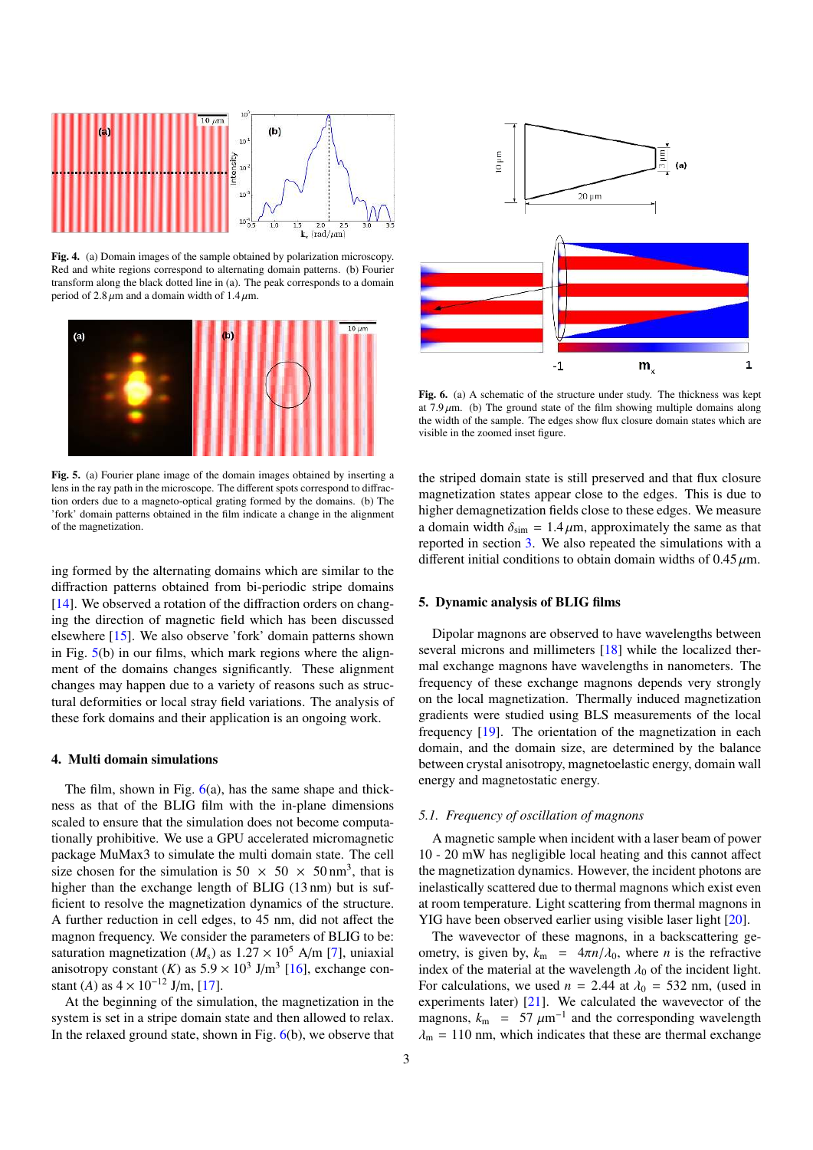

Fig. 4. (a) Domain images of the sample obtained by polarization microscopy. Red and white regions correspond to alternating domain patterns. (b) Fourier transform along the black dotted line in (a). The peak corresponds to a domain period of 2.8  $\mu$ m and a domain width of 1.4  $\mu$ m.



Fig. 5. (a) Fourier plane image of the domain images obtained by inserting a lens in the ray path in the microscope. The different spots correspond to diffraction orders due to a magneto-optical grating formed by the domains. (b) The 'fork' domain patterns obtained in the film indicate a change in the alignment of the magnetization.

ing formed by the alternating domains which are similar to the diffraction patterns obtained from bi-periodic stripe domains [14]. We observed a rotation of the diffraction orders on changing the direction of magnetic field which has been discussed elsewhere [15]. We also observe 'fork' domain patterns shown in Fig. 5(b) in our films, which mark regions where the alignment of the domains changes significantly. These alignment changes may happen due to a variety of reasons such as structural deformities or local stray field variations. The analysis of these fork domains and their application is an ongoing work.

### 4. Multi domain simulations

The film, shown in Fig.  $6(a)$ , has the same shape and thickness as that of the BLIG film with the in-plane dimensions scaled to ensure that the simulation does not become computationally prohibitive. We use a GPU accelerated micromagnetic package MuMax3 to simulate the multi domain state. The cell size chosen for the simulation is 50  $\times$  50  $\times$  50 nm<sup>3</sup>, that is higher than the exchange length of BLIG (13 nm) but is sufficient to resolve the magnetization dynamics of the structure. A further reduction in cell edges, to 45 nm, did not affect the magnon frequency. We consider the parameters of BLIG to be: saturation magnetization ( $M_s$ ) as  $1.27 \times 10^5$  A/m [7], uniaxial anisotropy constant  $(K)$  as  $5.9 \times 10^3$  J/m<sup>3</sup> [16], exchange constant (*A*) as  $4 \times 10^{-12}$  J/m, [17].

At the beginning of the simulation, the magnetization in the system is set in a stripe domain state and then allowed to relax. In the relaxed ground state, shown in Fig.  $6(b)$ , we observe that



Fig. 6. (a) A schematic of the structure under study. The thickness was kept at  $7.9 \mu$ m. (b) The ground state of the film showing multiple domains along the width of the sample. The edges show flux closure domain states which are visible in the zoomed inset figure.

the striped domain state is still preserved and that flux closure magnetization states appear close to the edges. This is due to higher demagnetization fields close to these edges. We measure a domain width  $\delta_{sim} = 1.4 \,\mu\text{m}$ , approximately the same as that reported in section 3. We also repeated the simulations with a different initial conditions to obtain domain widths of  $0.45 \mu$ m.

#### 5. Dynamic analysis of BLIG films

Dipolar magnons are observed to have wavelengths between several microns and millimeters [18] while the localized thermal exchange magnons have wavelengths in nanometers. The frequency of these exchange magnons depends very strongly on the local magnetization. Thermally induced magnetization gradients were studied using BLS measurements of the local frequency [19]. The orientation of the magnetization in each domain, and the domain size, are determined by the balance between crystal anisotropy, magnetoelastic energy, domain wall energy and magnetostatic energy.

### *5.1. Frequency of oscillation of magnons*

A magnetic sample when incident with a laser beam of power 10 - 20 mW has negligible local heating and this cannot affect the magnetization dynamics. However, the incident photons are inelastically scattered due to thermal magnons which exist even at room temperature. Light scattering from thermal magnons in YIG have been observed earlier using visible laser light [20].

The wavevector of these magnons, in a backscattering geometry, is given by,  $k_m = 4\pi n/\lambda_0$ , where *n* is the refractive index of the material at the wavelength  $\lambda_0$  of the incident light. For calculations, we used  $n = 2.44$  at  $\lambda_0 = 532$  nm, (used in experiments later) [21]. We calculated the wavevector of the magnons,  $k_{\text{m}} = 57 \ \mu \text{m}^{-1}$  and the corresponding wavelength  $\lambda_{\rm m}$  = 110 nm, which indicates that these are thermal exchange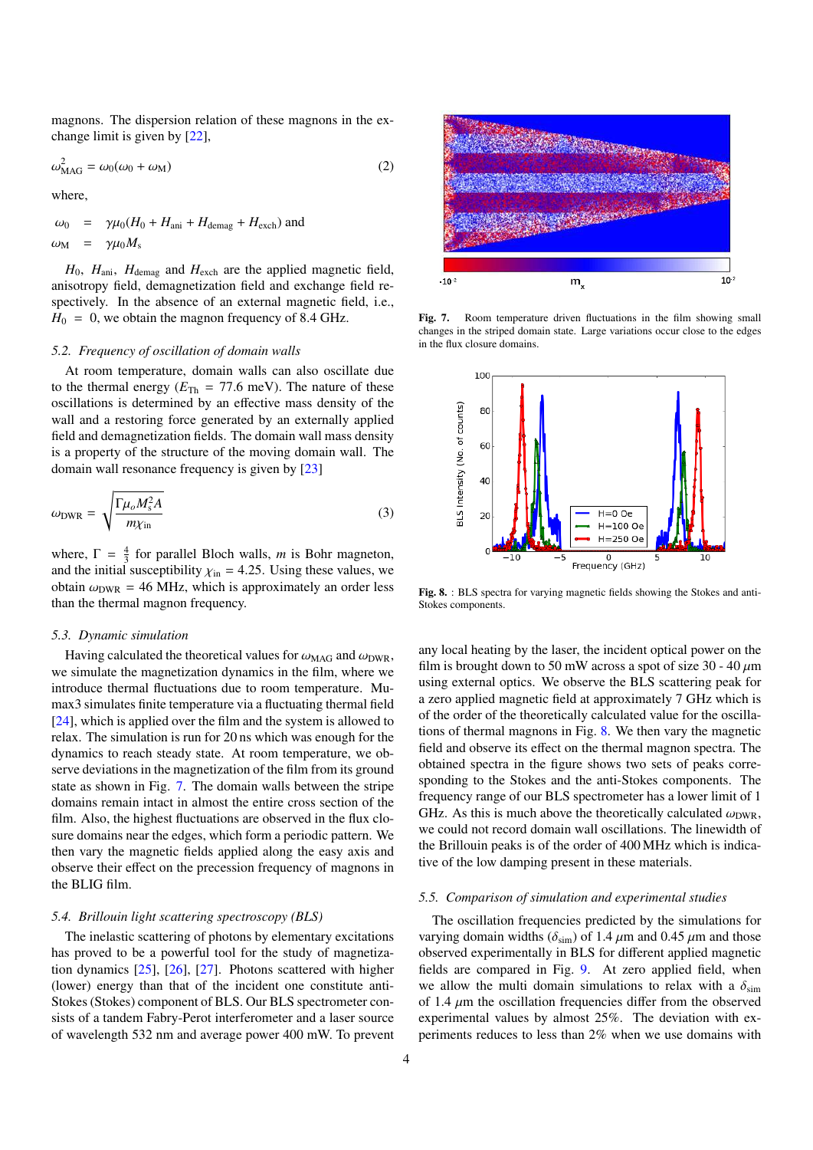magnons. The dispersion relation of these magnons in the exchange limit is given by [22],

$$
\omega_{\text{MAG}}^2 = \omega_0(\omega_0 + \omega_{\text{M}}) \tag{2}
$$

where,

$$
\omega_0 = \gamma \mu_0 (H_0 + H_{\text{ani}} + H_{\text{demag}} + H_{\text{exch}}) \text{ and}
$$
  

$$
\omega_{\text{M}} = \gamma \mu_0 M_s
$$

 $H_0$ ,  $H_{\text{ani}}$ ,  $H_{\text{demag}}$  and  $H_{\text{exch}}$  are the applied magnetic field, anisotropy field, demagnetization field and exchange field respectively. In the absence of an external magnetic field, i.e.,  $H_0 = 0$ , we obtain the magnon frequency of 8.4 GHz.

#### *5.2. Frequency of oscillation of domain walls*

At room temperature, domain walls can also oscillate due to the thermal energy ( $E_{Th}$  = 77.6 meV). The nature of these oscillations is determined by an effective mass density of the wall and a restoring force generated by an externally applied field and demagnetization fields. The domain wall mass density is a property of the structure of the moving domain wall. The domain wall resonance frequency is given by [23]

$$
\omega_{\text{DWR}} = \sqrt{\frac{\Gamma \mu_o M_s^2 A}{m \chi_{\text{in}}}}
$$
(3)

where,  $\Gamma = \frac{4}{3}$  for parallel Bloch walls, *m* is Bohr magneton, and the initial susceptibility  $\chi_{\text{in}} = 4.25$ . Using these values, we obtain  $\omega_{\text{DWR}} = 46$  MHz, which is approximately an order less than the thermal magnon frequency.

#### *5.3. Dynamic simulation*

Having calculated the theoretical values for  $\omega_{\text{MAG}}$  and  $\omega_{\text{DWR}}$ , we simulate the magnetization dynamics in the film, where we introduce thermal fluctuations due to room temperature. Mumax3 simulates finite temperature via a fluctuating thermal field [24], which is applied over the film and the system is allowed to relax. The simulation is run for 20 ns which was enough for the dynamics to reach steady state. At room temperature, we observe deviations in the magnetization of the film from its ground state as shown in Fig. 7. The domain walls between the stripe domains remain intact in almost the entire cross section of the film. Also, the highest fluctuations are observed in the flux closure domains near the edges, which form a periodic pattern. We then vary the magnetic fields applied along the easy axis and observe their effect on the precession frequency of magnons in the BLIG film.

#### *5.4. Brillouin light scattering spectroscopy (BLS)*

The inelastic scattering of photons by elementary excitations has proved to be a powerful tool for the study of magnetization dynamics [25], [26], [27]. Photons scattered with higher (lower) energy than that of the incident one constitute anti-Stokes (Stokes) component of BLS. Our BLS spectrometer consists of a tandem Fabry-Perot interferometer and a laser source of wavelength 532 nm and average power 400 mW. To prevent



Fig. 7. Room temperature driven fluctuations in the film showing small changes in the striped domain state. Large variations occur close to the edges in the flux closure domains.



Fig. 8. : BLS spectra for varying magnetic fields showing the Stokes and anti-Stokes components.

any local heating by the laser, the incident optical power on the film is brought down to 50 mW across a spot of size 30 - 40  $\mu$ m using external optics. We observe the BLS scattering peak for a zero applied magnetic field at approximately 7 GHz which is of the order of the theoretically calculated value for the oscillations of thermal magnons in Fig. 8. We then vary the magnetic field and observe its effect on the thermal magnon spectra. The obtained spectra in the figure shows two sets of peaks corresponding to the Stokes and the anti-Stokes components. The frequency range of our BLS spectrometer has a lower limit of 1 GHz. As this is much above the theoretically calculated  $\omega_{\text{DWR}}$ , we could not record domain wall oscillations. The linewidth of the Brillouin peaks is of the order of 400 MHz which is indicative of the low damping present in these materials.

#### *5.5. Comparison of simulation and experimental studies*

The oscillation frequencies predicted by the simulations for varying domain widths ( $\delta$ <sub>sim</sub>) of 1.4  $\mu$ m and 0.45  $\mu$ m and those observed experimentally in BLS for different applied magnetic fields are compared in Fig. 9. At zero applied field, when we allow the multi domain simulations to relax with a  $\delta_{sim}$ of 1.4  $\mu$ m the oscillation frequencies differ from the observed experimental values by almost 25%. The deviation with experiments reduces to less than 2% when we use domains with